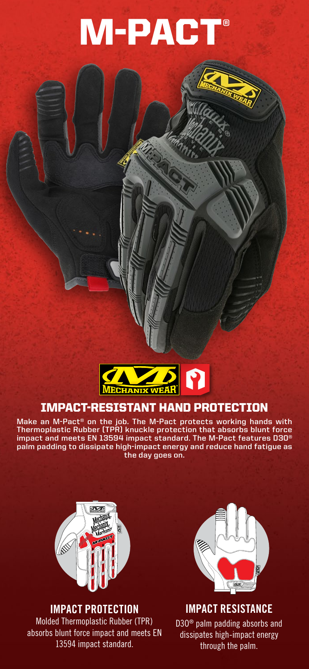# M-PACT®



# IMPACT-RESISTANT HAND PROTECTION

**Make an M-Pact® on the job. The M-Pact protects working hands with Thermoplastic Rubber (TPR) knuckle protection that absorbs blunt force impact and meets EN 13594 impact standard. The M-Pact features D3O® palm padding to dissipate high-impact energy and reduce hand fatigue as the day goes on.**



## **IMPACT PROTECTION**

Molded Thermoplastic Rubber (TPR) absorbs blunt force impact and meets EN 13594 impact standard.



**IMPACT RESISTANCE** D3O® palm padding absorbs and dissipates high-impact energy through the palm.